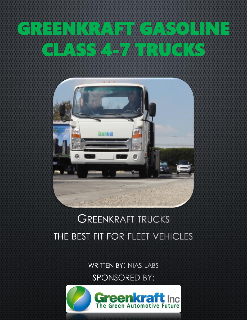

## **GREENKRAFT TRUCKS** THE BEST FIT FOR FLEET VEHICLES

**WRITTEN BY: NIAS LABS** 

SPONSORED BY:

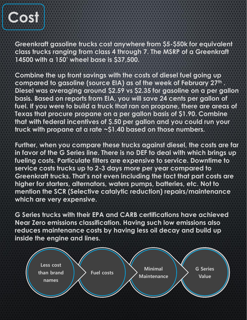

**Greenkraft gasoline trucks cost anywhere from \$5-\$50k for equivalent class trucks ranging from class 4 through 7. The MSRP of a Greenkraft 14500 with a 150' wheel base is \$37,500.** 

**Combine the up front savings with the costs of diesel fuel going up compared to gasoline (source EIA) as of the week of February 27th . Diesel was averaging around \$2.59 vs \$2.35 for gasoline on a per gallon basis. Based on reports from EIA, you will save 24 cents per gallon of fuel. If you were to build a truck that ran on propane, there are areas of Texas that procure propane on a per gallon basis of \$1.90. Combine that with federal incentives of \$.50 per gallon and you could run your truck with propane at a rate ~\$1.40 based on those numbers.** 

**Further, when you compare these trucks against diesel, the costs are far in favor of the G Series line. There is no DEF to deal with which brings up fueling costs. Particulate filters are expensive to service. Downtime to service costs trucks up to 2-3 days more per year compared to Greenkraft trucks. That's not even including the fact that part costs are higher for starters, alternators, waters pumps, batteries, etc. Not to mention the SCR (Selective catalytic reduction) repairs/maintenance which are very expensive.** 

**G Series trucks with their EPA and CARB certifications have achieved Near Zero emissions classification. Having such low emissions also reduces maintenance costs by having less oil decay and build up inside the engine and lines.**

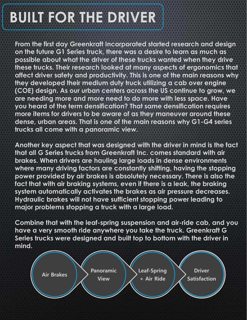## **BUILT FOR THE DRIVER**

**From the first day Greenkraft Incorporated started research and design on the future G1 Series truck, there was a desire to learn as much as possible about what the driver of these trucks wanted when they drive these trucks. Their research looked at many aspects of ergonomics that affect driver safety and productivity. This is one of the main reasons why they developed their medium duty truck utilizing a cab over engine (COE) design. As our urban centers across the US continue to grow, we are needing more and more need to do more with less space. Have you heard of the term densification? That same densification requires more items for drivers to be aware of as they maneuver around these dense, urban areas. That is one of the main reasons why G1-G4 series trucks all come with a panoramic view.**

**Another key aspect that was designed with the driver in mind is the fact that all G Series trucks from Greenkraft Inc. comes standard with air brakes. When drivers are hauling large loads in dense environments where many driving factors are constantly shifting, having the stopping power provided by air brakes is absolutely necessary. There is also the fact that with air braking systems, even if there is a leak, the braking system automatically activates the brakes as air pressure decreases. Hydraulic brakes will not have sufficient stopping power leading to major problems stopping a truck with a large load.** 

**Combine that with the leaf-spring suspension and air-ride cab, and you have a very smooth ride anywhere you take the truck. Greenkraft G Series trucks were designed and built top to bottom with the driver in mind.**

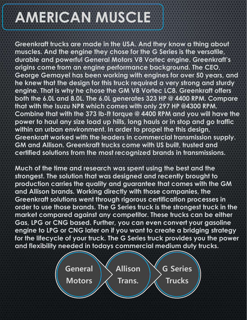## **AMERICAN MUSCLE**

**Greenkraft trucks are made in the USA. And they know a thing about muscles. And the engine they chose for the G Series is the versatile, durable and powerful General Motors V8 Vortec engine. Greenkraft's origins come from an engine performance background. The CEO, George Gemayel has been working with engines for over 50 years, and he knew that the design for this truck required a very strong and sturdy engine. That is why he chose the GM V8 Vortec LC8. Greenkraft offers both the 6.0L and 8.0L. The 6.0L generates 323 HP @ 4400 RPM. Compare that with the Isuzu NPR which comes with only 297 HP @4300 RPM. Combine that with the 373 lb-ft torque @ 4400 RPM and you will have the power to haul any size load up hills, long hauls or in stop and go traffic within an urban environment. In order to propel the this design, Greenkraft worked with the leaders in commercial transmission supply. GM and Allison. Greenkraft trucks come with US built, trusted and certified solutions from the most recognized brands in transmissions.** 

**Much of the time and research was spent using the best and the strongest. The solution that was designed and recently brought to production carries the quality and guarantee that comes with the GM and Allison brands. Working directly with those companies, the Greenkraft solutions went through rigorous certification processes in order to use those brands. The G Series truck is the strongest truck in the market compared against any competitor. These trucks can be either Gas, LPG or CNG based. Further, you can even convert your gasoline engine to LPG or CNG later on if you want to create a bridging strategy for the lifecycle of your truck. The G Series truck provides you the power and flexibility needed in todays commercial medium duty trucks.**